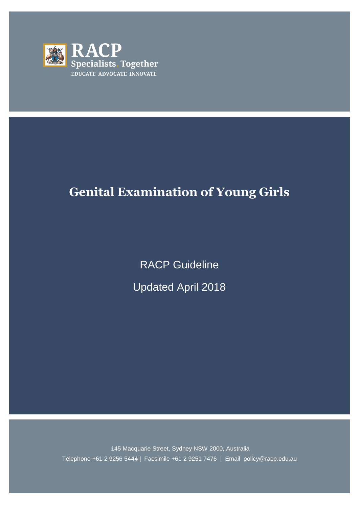

# **Genital Examination of Young Girls**

RACP Guideline Updated April 2018

145 Macquarie Street, Sydney NSW 2000, Australia Telephone +61 2 9256 5444 | Facsimile +61 2 9251 7476 | Email policy@racp.edu.au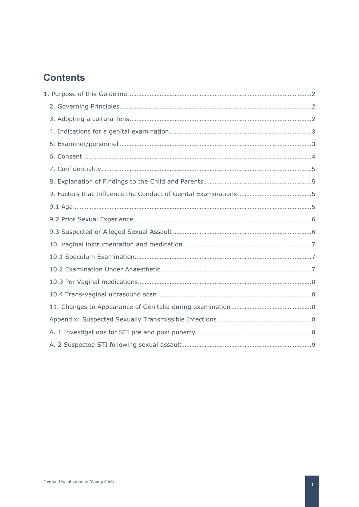# **Contents**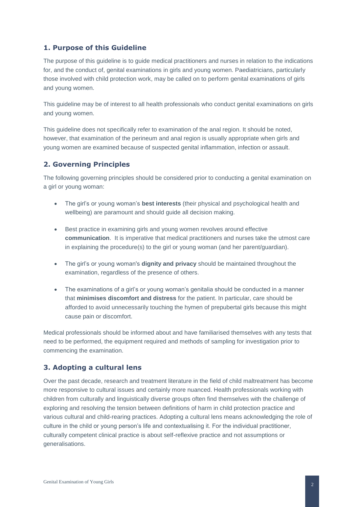# <span id="page-2-0"></span>**1. Purpose of this Guideline**

The purpose of this guideline is to guide medical practitioners and nurses in relation to the indications for, and the conduct of, genital examinations in girls and young women. Paediatricians, particularly those involved with child protection work, may be called on to perform genital examinations of girls and young women.

This guideline may be of interest to all health professionals who conduct genital examinations on girls and young women.

This guideline does not specifically refer to examination of the anal region. It should be noted, however, that examination of the perineum and anal region is usually appropriate when girls and young women are examined because of suspected genital inflammation, infection or assault.

## <span id="page-2-1"></span>**2. Governing Principles**

The following governing principles should be considered prior to conducting a genital examination on a girl or young woman:

- The girl's or young woman's **best interests** (their physical and psychological health and wellbeing) are paramount and should guide all decision making.
- Best practice in examining girls and young women revolves around effective **communication**. It is imperative that medical practitioners and nurses take the utmost care in explaining the procedure(s) to the girl or young woman (and her parent/guardian).
- The girl's or young woman's **dignity and privacy** should be maintained throughout the examination, regardless of the presence of others.
- The examinations of a girl's or young woman's genitalia should be conducted in a manner that **minimises discomfort and distress** for the patient. In particular, care should be afforded to avoid unnecessarily touching the hymen of prepubertal girls because this might cause pain or discomfort.

Medical professionals should be informed about and have familiarised themselves with any tests that need to be performed, the equipment required and methods of sampling for investigation prior to commencing the examination.

#### <span id="page-2-2"></span>**3. Adopting a cultural lens**

Over the past decade, research and treatment literature in the field of child maltreatment has become more responsive to cultural issues and certainly more nuanced. Health professionals working with children from culturally and linguistically diverse groups often find themselves with the challenge of exploring and resolving the tension between definitions of harm in child protection practice and various cultural and child-rearing practices. Adopting a cultural lens means acknowledging the role of culture in the child or young person's life and contextualising it. For the individual practitioner, culturally competent clinical practice is about self-reflexive practice and not assumptions or generalisations.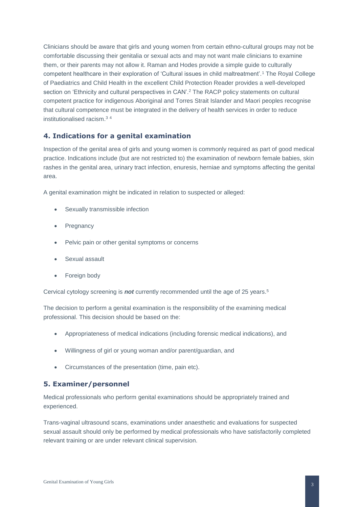Clinicians should be aware that girls and young women from certain ethno-cultural groups may not be comfortable discussing their genitalia or sexual acts and may not want male clinicians to examine them, or their parents may not allow it. Raman and Hodes provide a simple guide to culturally competent healthcare in their exploration of 'Cultural issues in child maltreatment'.<sup>1</sup> The Royal College of Paediatrics and Child Health in the excellent Child Protection Reader provides a well-developed section on 'Ethnicity and cultural perspectives in CAN'.<sup>2</sup> The RACP policy statements on cultural competent practice for indigenous Aboriginal and Torres Strait Islander and Maori peoples recognise that cultural competence must be integrated in the delivery of health services in order to reduce institutionalised racism.<sup>3</sup> <sup>4</sup>

#### <span id="page-3-0"></span>**4. Indications for a genital examination**

Inspection of the genital area of girls and young women is commonly required as part of good medical practice. Indications include (but are not restricted to) the examination of newborn female babies, skin rashes in the genital area, urinary tract infection, enuresis, herniae and symptoms affecting the genital area.

A genital examination might be indicated in relation to suspected or alleged:

- Sexually transmissible infection
- **Pregnancy**
- Pelvic pain or other genital symptoms or concerns
- Sexual assault
- Foreign body

Cervical cytology screening is *not* currently recommended until the age of 25 years.<sup>5</sup>

The decision to perform a genital examination is the responsibility of the examining medical professional. This decision should be based on the:

- Appropriateness of medical indications (including forensic medical indications), and
- Willingness of girl or young woman and/or parent/guardian, and
- Circumstances of the presentation (time, pain etc).

#### <span id="page-3-1"></span>**5. Examiner/personnel**

Medical professionals who perform genital examinations should be appropriately trained and experienced.

Trans-vaginal ultrasound scans, examinations under anaesthetic and evaluations for suspected sexual assault should only be performed by medical professionals who have satisfactorily completed relevant training or are under relevant clinical supervision.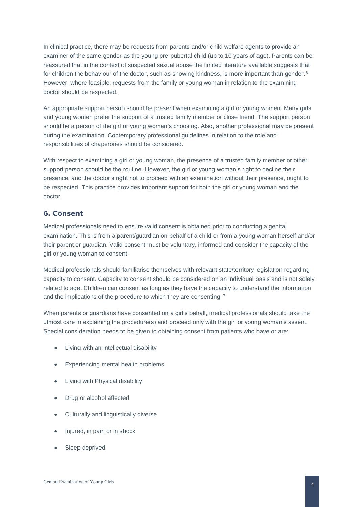In clinical practice, there may be requests from parents and/or child welfare agents to provide an examiner of the same gender as the young pre-pubertal child (up to 10 years of age). Parents can be reassured that in the context of suspected sexual abuse the limited literature available suggests that for children the behaviour of the doctor, such as showing kindness, is more important than gender.<sup>6</sup> However, where feasible, requests from the family or young woman in relation to the examining doctor should be respected.

An appropriate support person should be present when examining a girl or young women. Many girls and young women prefer the support of a trusted family member or close friend. The support person should be a person of the girl or young woman's choosing. Also, another professional may be present during the examination. Contemporary professional guidelines in relation to the role and responsibilities of chaperones should be considered.

With respect to examining a girl or young woman, the presence of a trusted family member or other support person should be the routine. However, the girl or young woman's right to decline their presence, and the doctor's right not to proceed with an examination without their presence, ought to be respected. This practice provides important support for both the girl or young woman and the doctor.

# <span id="page-4-0"></span>**6. Consent**

Medical professionals need to ensure valid consent is obtained prior to conducting a genital examination. This is from a parent/guardian on behalf of a child or from a young woman herself and/or their parent or guardian. Valid consent must be voluntary, informed and consider the capacity of the girl or young woman to consent.

Medical professionals should familiarise themselves with relevant state/territory legislation regarding capacity to consent. Capacity to consent should be considered on an individual basis and is not solely related to age. Children can consent as long as they have the capacity to understand the information and the implications of the procedure to which they are consenting. <sup>7</sup>

When parents or guardians have consented on a girl's behalf, medical professionals should take the utmost care in explaining the procedure(s) and proceed only with the girl or young woman's assent. Special consideration needs to be given to obtaining consent from patients who have or are:

- Living with an intellectual disability
- Experiencing mental health problems
- Living with Physical disability
- Drug or alcohol affected
- Culturally and linguistically diverse
- Injured, in pain or in shock
- Sleep deprived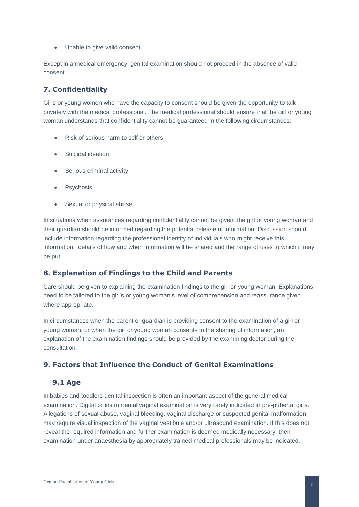• Unable to give valid consent

Except in a medical emergency, genital examination should not proceed in the absence of valid consent.

# <span id="page-5-0"></span>**7. Confidentiality**

Girls or young women who have the capacity to consent should be given the opportunity to talk privately with the medical professional. The medical professional should ensure that the girl or young woman understands that confidentiality cannot be guaranteed in the following circumstances:

- Risk of serious harm to self or others
- Suicidal ideation
- Serious criminal activity
- **Psychosis**
- Sexual or physical abuse

In situations when assurances regarding confidentiality cannot be given, the girl or young woman and their guardian should be informed regarding the potential release of information. Discussion should include information regarding the professional identity of individuals who might receive this information, details of how and when information will be shared and the range of uses to which it may be put.

#### <span id="page-5-1"></span>**8. Explanation of Findings to the Child and Parents**

Care should be given to explaining the examination findings to the girl or young woman. Explanations need to be tailored to the girl's or young woman's level of comprehension and reassurance given where appropriate.

In circumstances when the parent or guardian is providing consent to the examination of a girl or young woman, or when the girl or young woman consents to the sharing of information, an explanation of the examination findings should be provided by the examining doctor during the consultation.

# <span id="page-5-2"></span>**9. Factors that Influence the Conduct of Genital Examinations**

#### <span id="page-5-3"></span> **9.1 Age**

In babies and toddlers genital inspection is often an important aspect of the general medical examination. Digital or instrumental vaginal examination is very rarely indicated in pre-pubertal girls. Allegations of sexual abuse, vaginal bleeding, vaginal discharge or suspected genital malformation may require visual inspection of the vaginal vestibule and/or ultrasound examination. If this does not reveal the required information and further examination is deemed medically necessary, then examination under anaesthesia by appropriately trained medical professionals may be indicated.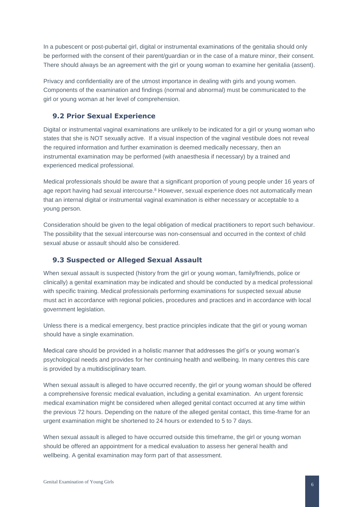In a pubescent or post-pubertal girl, digital or instrumental examinations of the genitalia should only be performed with the consent of their parent/guardian or in the case of a mature minor, their consent. There should always be an agreement with the girl or young woman to examine her genitalia (assent).

Privacy and confidentiality are of the utmost importance in dealing with girls and young women. Components of the examination and findings (normal and abnormal) must be communicated to the girl or young woman at her level of comprehension.

#### <span id="page-6-0"></span> **9.2 Prior Sexual Experience**

Digital or instrumental vaginal examinations are unlikely to be indicated for a girl or young woman who states that she is NOT sexually active. If a visual inspection of the vaginal vestibule does not reveal the required information and further examination is deemed medically necessary, then an instrumental examination may be performed (with anaesthesia if necessary) by a trained and experienced medical professional.

Medical professionals should be aware that a significant proportion of young people under 16 years of age report having had sexual intercourse.<sup>8</sup> However, sexual experience does not automatically mean that an internal digital or instrumental vaginal examination is either necessary or acceptable to a young person.

Consideration should be given to the legal obligation of medical practitioners to report such behaviour. The possibility that the sexual intercourse was non-consensual and occurred in the context of child sexual abuse or assault should also be considered.

#### <span id="page-6-1"></span> **9.3 Suspected or Alleged Sexual Assault**

When sexual assault is suspected (history from the girl or young woman, family/friends, police or clinically) a genital examination may be indicated and should be conducted by a medical professional with specific training. Medical professionals performing examinations for suspected sexual abuse must act in accordance with regional policies, procedures and practices and in accordance with local government legislation.

Unless there is a medical emergency, best practice principles indicate that the girl or young woman should have a single examination.

Medical care should be provided in a holistic manner that addresses the girl's or young woman's psychological needs and provides for her continuing health and wellbeing. In many centres this care is provided by a multidisciplinary team.

When sexual assault is alleged to have occurred recently, the girl or young woman should be offered a comprehensive forensic medical evaluation, including a genital examination. An urgent forensic medical examination might be considered when alleged genital contact occurred at any time within the previous 72 hours. Depending on the nature of the alleged genital contact, this time-frame for an urgent examination might be shortened to 24 hours or extended to 5 to 7 days.

When sexual assault is alleged to have occurred outside this timeframe, the girl or young woman should be offered an appointment for a medical evaluation to assess her general health and wellbeing. A genital examination may form part of that assessment.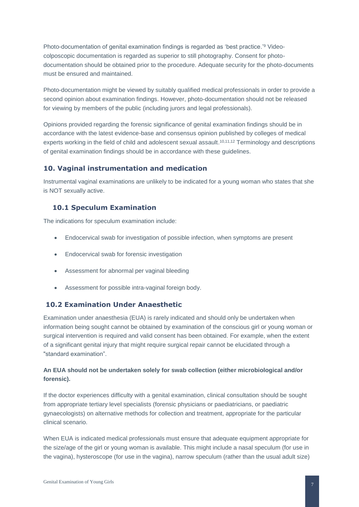Photo-documentation of genital examination findings is regarded as 'best practice.'<sup>9</sup> Videocolposcopic documentation is regarded as superior to still photography. Consent for photodocumentation should be obtained prior to the procedure. Adequate security for the photo-documents must be ensured and maintained.

Photo-documentation might be viewed by suitably qualified medical professionals in order to provide a second opinion about examination findings. However, photo-documentation should not be released for viewing by members of the public (including jurors and legal professionals).

Opinions provided regarding the forensic significance of genital examination findings should be in accordance with the latest evidence-base and consensus opinion published by colleges of medical experts working in the field of child and adolescent sexual assault.<sup>10,11,12</sup> Terminology and descriptions of genital examination findings should be in accordance with these guidelines.

## <span id="page-7-0"></span>**10. Vaginal instrumentation and medication**

Instrumental vaginal examinations are unlikely to be indicated for a young woman who states that she is NOT sexually active.

#### <span id="page-7-1"></span> **10.1 Speculum Examination**

The indications for speculum examination include:

- Endocervical swab for investigation of possible infection, when symptoms are present
- Endocervical swab for forensic investigation
- Assessment for abnormal per vaginal bleeding
- Assessment for possible intra-vaginal foreign body.

#### <span id="page-7-2"></span>**10.2 Examination Under Anaesthetic**

Examination under anaesthesia (EUA) is rarely indicated and should only be undertaken when information being sought cannot be obtained by examination of the conscious girl or young woman or surgical intervention is required and valid consent has been obtained. For example, when the extent of a significant genital injury that might require surgical repair cannot be elucidated through a "standard examination".

#### **An EUA should not be undertaken solely for swab collection (either microbiological and/or forensic).**

If the doctor experiences difficulty with a genital examination, clinical consultation should be sought from appropriate tertiary level specialists (forensic physicians or paediatricians, or paediatric gynaecologists) on alternative methods for collection and treatment, appropriate for the particular clinical scenario.

When EUA is indicated medical professionals must ensure that adequate equipment appropriate for the size/age of the girl or young woman is available. This might include a nasal speculum (for use in the vagina), hysteroscope (for use in the vagina), narrow speculum (rather than the usual adult size)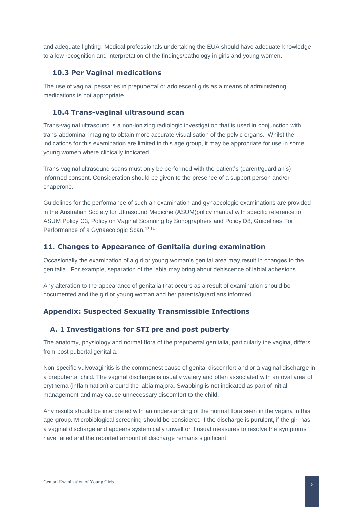and adequate lighting. Medical professionals undertaking the EUA should have adequate knowledge to allow recognition and interpretation of the findings/pathology in girls and young women.

#### <span id="page-8-0"></span> **10.3 Per Vaginal medications**

The use of vaginal pessaries in prepubertal or adolescent girls as a means of administering medications is not appropriate.

#### <span id="page-8-1"></span> **10.4 Trans-vaginal ultrasound scan**

Trans-vaginal ultrasound is a non-ionizing radiologic investigation that is used in conjunction with trans-abdominal imaging to obtain more accurate visualisation of the pelvic organs. Whilst the indications for this examination are limited in this age group, it may be appropriate for use in some young women where clinically indicated.

Trans-vaginal ultrasound scans must only be performed with the patient's (parent/guardian's) informed consent. Consideration should be given to the presence of a support person and/or chaperone.

Guidelines for the performance of such an examination and gynaecologic examinations are provided in the Australian Society for Ultrasound Medicine (ASUM)policy manual with specific reference to ASUM Policy C3, Policy on Vaginal Scanning by Sonographers and Policy D8, Guidelines For Performance of a Gynaecologic Scan. 13,14

#### <span id="page-8-2"></span>**11. Changes to Appearance of Genitalia during examination**

Occasionally the examination of a girl or young woman's genital area may result in changes to the genitalia. For example, separation of the labia may bring about dehiscence of labial adhesions.

Any alteration to the appearance of genitalia that occurs as a result of examination should be documented and the girl or young woman and her parents/guardians informed.

#### <span id="page-8-3"></span>**Appendix: Suspected Sexually Transmissible Infections**

#### <span id="page-8-4"></span> **A. 1 Investigations for STI pre and post puberty**

The anatomy, physiology and normal flora of the prepubertal genitalia, particularly the vagina, differs from post pubertal genitalia.

Non-specific vulvovaginitis is the commonest cause of genital discomfort and or a vaginal discharge in a prepubertal child. The vaginal discharge is usually watery and often associated with an oval area of erythema (inflammation) around the labia majora. Swabbing is not indicated as part of initial management and may cause unnecessary discomfort to the child.

Any results should be interpreted with an understanding of the normal flora seen in the vagina in this age-group. Microbiological screening should be considered if the discharge is purulent, if the girl has a vaginal discharge and appears systemically unwell or if usual measures to resolve the symptoms have failed and the reported amount of discharge remains significant.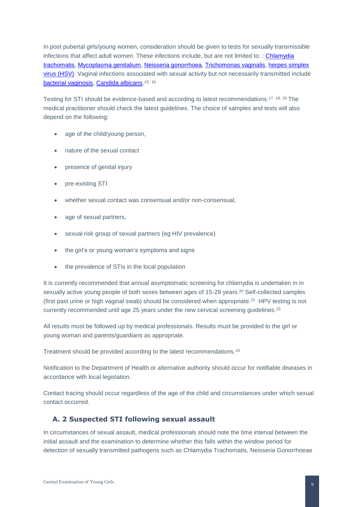In post pubertal girls/young women, consideration should be given to tests for sexually transmissible infections that affect adult women. These infections include, but are not limited to: : [Chlamydia](http://www.sti.guidelines.org.au/sexually-transmissible-infections/Chlamydia)  [trachomatis](http://www.sti.guidelines.org.au/sexually-transmissible-infections/Chlamydia)*,* [Mycoplasma genitalium,](http://www.sti.guidelines.org.au/sexually-transmissible-infections/mycoplasma-genitalium) [Neisseria gonorrhoea](http://www.sti.guidelines.org.au/sexually-transmissible-infections/gonorrhoea)*,* [Trichomonas vaginalis,](http://www.sti.guidelines.org.au/sexually-transmissible-infections/trichomoniasis) [herpes simplex](http://www.sti.guidelines.org.au/sexually-transmissible-infections/herpes)  [virus \(HSV\).](http://www.sti.guidelines.org.au/sexually-transmissible-infections/herpes) Vaginal infections associated with sexual activity but not necessarily transmitted include [bacterial vaginosis,](http://www.sti.guidelines.org.au/sexually-transmissible-infections/infections-associated-with-sex/bacterial-vaginosis) [Candida albicans.](http://www.sti.guidelines.org.au/sexually-transmissible-infections/infections-associated-with-sex/candidiasis) *15*, 16

Testing for STI should be evidence-based and according to latest recommendations.17, 18, 19 The medical practitioner should check the latest guidelines. The choice of samples and tests will also depend on the following:

- age of the child/young person,
- nature of the sexual contact
- presence of genital injury
- pre-existing STI
- whether sexual contact was consensual and/or non-consensual.
- age of sexual partners,
- sexual risk group of sexual partners (eg HIV prevalence)
- the girl's or young woman's symptoms and signs
- the prevalence of STIs in the local population

It is currently recommended that annual asymptomatic screening for chlamydia is undertaken in in sexually active young people of both sexes between ages of 15-29 years.<sup>20</sup> Self-collected samples (first past urine or high vaginal swab) should be considered when appropriate.<sup>21</sup> HPV testing is not currently recommended until age 25 years under the new cervical screening guidelines.<sup>22</sup>

All results must be followed up by medical professionals. Results must be provided to the girl or young woman and parents/guardians as appropriate.

Treatment should be provided according to the latest recommendations.<sup>23</sup>

Notification to the Department of Health or alternative authority should occur for notifiable diseases in accordance with local legislation.

Contact tracing should occur regardless of the age of the child and circumstances under which sexual contact occurred.

# <span id="page-9-0"></span> **A. 2 Suspected STI following sexual assault**

In circumstances of sexual assault, medical professionals should note the time interval between the initial assault and the examination to determine whether this falls within the window period for detection of sexually transmitted pathogens such as Chlamydia Trachomatis, Neisseria Gonorrhoeae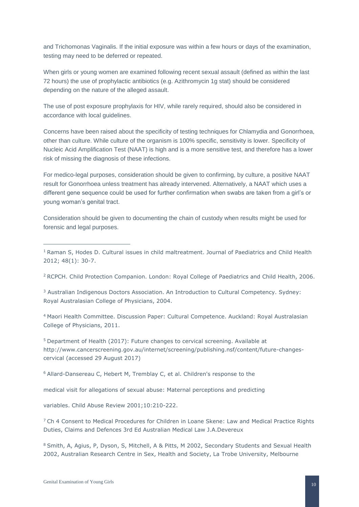and Trichomonas Vaginalis. If the initial exposure was within a few hours or days of the examination, testing may need to be deferred or repeated.

When girls or young women are examined following recent sexual assault (defined as within the last 72 hours) the use of prophylactic antibiotics (e.g. Azithromycin 1g stat) should be considered depending on the nature of the alleged assault.

The use of post exposure prophylaxis for HIV, while rarely required, should also be considered in accordance with local guidelines.

Concerns have been raised about the specificity of testing techniques for Chlamydia and Gonorrhoea, other than culture. While culture of the organism is 100% specific, sensitivity is lower. Specificity of Nucleic Acid Amplification Test (NAAT) is high and is a more sensitive test, and therefore has a lower risk of missing the diagnosis of these infections.

For medico-legal purposes, consideration should be given to confirming, by culture, a positive NAAT result for Gonorrhoea unless treatment has already intervened. Alternatively, a NAAT which uses a different gene sequence could be used for further confirmation when swabs are taken from a girl's or young woman's genital tract.

Consideration should be given to documenting the chain of custody when results might be used for forensic and legal purposes.

<sup>1</sup> Raman S, Hodes D. Cultural issues in child maltreatment. Journal of Paediatrics and Child Health 2012; 48(1): 30-7.

<sup>2</sup> RCPCH. Child Protection Companion. London: Royal College of Paediatrics and Child Health, 2006.

<sup>3</sup> Australian Indigenous Doctors Association. An Introduction to Cultural Competency. Sydney: Royal Australasian College of Physicians, 2004.

<sup>4</sup> Maori Health Committee. Discussion Paper: Cultural Competence. Auckland: Royal Australasian College of Physicians, 2011.

<sup>5</sup> Department of Health (2017): Future changes to cervical screening. Available at [http://www.cancerscreening.gov.au/internet/screening/publishing.nsf/content/future-changes](http://www.cancerscreening.gov.au/internet/screening/publishing.nsf/content/future-changes-cervical)[cervical](http://www.cancerscreening.gov.au/internet/screening/publishing.nsf/content/future-changes-cervical) (accessed 29 August 2017)

<sup>6</sup> Allard-Dansereau C, Hebert M, Tremblay C, et al. Children's response to the

medical visit for allegations of sexual abuse: Maternal perceptions and predicting

variables. Child Abuse Review 2001;10:210-222.

 $7$  Ch 4 Consent to Medical Procedures for Children in Loane Skene: Law and Medical Practice Rights Duties, Claims and Defences 3rd Ed Australian Medical Law J.A.Devereux

<sup>8</sup> Smith, A, Agius, P, Dyson, S, Mitchell, A & Pitts, M 2002, Secondary Students and Sexual Health 2002, Australian Research Centre in Sex, Health and Society, La Trobe University, Melbourne

-